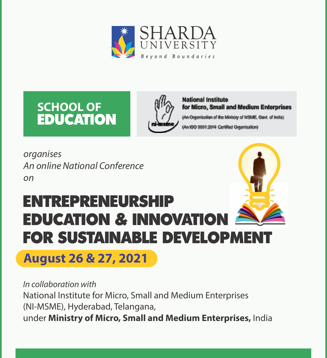

### **SCHOOL OF EDUCATION**



**National Institute** for Micro, Small and Medium Enterprises

(An Organisation of the Ministry of MSME, Govt. of India)

(An ISO 9001:2016 Certified Organisation)

organises An online National Conference on

# ENTREPRENEURSHIP EDUCATION & INNOVATION FOR SUSTAINABLE DEVELOPMENT

**August 26 & 27, 2021**

In collaboration with National Institute for Micro, Small and Medium Enterprises (NI-MSME), Hyderabad, Telangana, under **Ministry of Micro, Small and Medium Enterprises,** India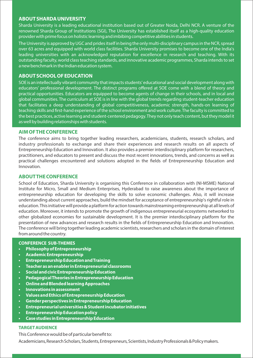#### **ABOUT SHARDA UNIVERSITY**

Sharda University is a leading educational institution based out of Greater Noida, Delhi NCR. A venture of the renowned Sharda Group of Institutions (SGI), The University has established itself as a high-quality education provider with prime focus on holistic learning and imbibing competitive abilities in students.

The University is approved by UGC and prides itself in being the only multi-disciplinary campus in the NCR, spread over 63 acres and equipped with world class facilities. Sharda University promises to become one of the India's leading universities with an acknowledged reputation for excellence in research and teaching. With its outstanding faculty, world class teaching standards, and innovative academic programmes, Sharda intends to set a new benchmark in the Indian education system.

#### **ABOUT SCHOOL OF EDUCATION**

SOE is an intellectually vibrant community that impacts students' educational and social development along with educators' professional development. The distinct programs offered at SOE come with a blend of theory and practical opportunities. Educators are equipped to become agents of change in their schools, and in local and global communities. The curriculum at SOE is in line with the global trends regarding student-teacher education that facilitates a deep understanding of global competitiveness, academic strength, hands-on learning of teaching skills and first-hand experience of the school environment and work culture. The faculty is committed to the best practices, active learning and student-centered pedagogy. They not only teach content, but they model it as well by building relationships with students.

#### **AIM OF THE CONFERENCE**

The conference aims to bring together leading researchers, academicians, students, research scholars, and industry professionals to exchange and share their experiences and research results on all aspects of Entrepreneurship Education and Innovation. It also provides a premier interdisciplinary platform for researchers, practitioners, and educators to present and discuss the most recent innovations, trends, and concerns as well as practical challenges encountered and solutions adopted in the fields of Entrepreneurship Education and Innovation.

#### **ABOUT THE CONFERENCE**

School of Education, Sharda University is organising this Conference in collaboration with (NI-MSME) National Institute for Micro, Small and Medium Enterprises, Hyderabad to raise awareness about the importance of entrepreneurship education for developing the skills to solve economic challenges. Also, it will increase understanding about current approaches, build the mindset for acceptance of entrepreneurship's rightful role in education. This initiative will provide a platform for action towards mainstreaming entrepreneurship at all levels of education. Moreover, it intends to promote the growth of indigenous entrepreneurial ecosystems networked to other globalized economies for sustainable development. It is the premier interdisciplinary platform for the presentation of new advances and research results in the fields of Entrepreneurship Education and Innovation. The conference will bring together leading academic scientists, researchers and scholars in the domain of interest from around the country.

#### **CONFERENCE SUB-THEMES**

- **Philosophy of Entrepreneurship**
- **Academic Entrepreneurship**
- **Entrepreneurship Education and Training**
- **Teacher as an enabler in Entrepreneurial classrooms**
- **Social and civic Entrepreneurship Education**
- **Pedagogical Theories in Entrepreneurship Education**
- **Online and Blended learning Approaches**
- **Innovations in assessment**
- **Values and Ethics of Entrepreneurship Education**
- **Gender perspectives in Entrepreneurship Education**
- **Entrepreneurial universities & Student incubator initiatives**
- **Entrepreneurship Education policy**
- **Case studies in Entrepreneurship Education**

#### **TARGET AUDIENCE**

This Conference would be of particular benefit to:

Academicians, Research Scholars, Students, Entrepreneurs, Scientists, Industry Professionals & Policy makers.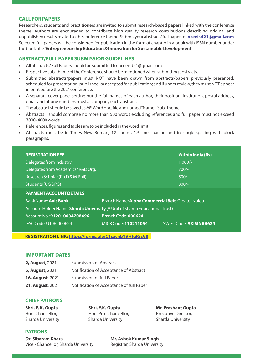#### **CALL FOR PAPERS**

Researchers, students and practitioners are invited to submit research-based papers linked with the conference theme. Authors are encouraged to contribute high quality research contributions describing original and unpublished results related to the conference theme. Submit your abstract / full paper to-**nceeisd21@gmail.com** Selected full papers will be considered for publication in the form of chapter in a book with ISBN number under the book title **'Entrepreneurship Education & Innovation for Sustainable Development'**

#### **ABSTRACT/FULL PAPER SUBMISSION GUIDELINES**

- All abstracts/ Full Papers should be submitted to-nceeisd21@gmail.com
- Respective sub-theme of the Conference should be mentioned when submitting abstracts.
- Submitted abstracts/papers must NOT have been drawn from abstracts/papers previously presented, scheduled for presentation, published, or accepted for publication; and if under review, they must NOT appear in print before the 2021conference.
- A separate cover page, setting out the full names of each author, their position, institution, postal address, email and phone numbers must accompany each abstract.
- The abstract should be saved as MS Word doc. file and named "Name –Sub-theme".
- Abstracts should comprise no more than 500 words excluding references and full paper must not exceed 3000- 4000 words.
- References, figures and tables are to be included in the word limit.
- Abstracts must be in Times New Roman, 12 point, 1.5 line spacing and in single-spacing with block paragraphs.

| <b>REGISTRATION FEE</b>                                                     |                                                   | <b>Within India (Rs)</b> |
|-----------------------------------------------------------------------------|---------------------------------------------------|--------------------------|
| Delegates from Industry                                                     |                                                   | $1,000/-$                |
| Delegates from Academics/R&D Org.                                           |                                                   | $700/-$                  |
| Research Scholar (Ph.D & M.Phil)                                            |                                                   | $500/-$                  |
| Students (UG & PG)                                                          |                                                   | $300/-$                  |
| <b>PAYMENT ACCOUNT DETAILS</b>                                              |                                                   |                          |
| Bank Name: <b>Axis Bank</b>                                                 | Branch Name: Alpha Commercial Belt, Greater Noida |                          |
| Account Holder Name: Sharda University (A Unit of Sharda Educational Trust) |                                                   |                          |
| Account No.: 912010034708496                                                | Branch Code: 000624                               |                          |
| IFSC Code: UTIB0000624                                                      | MICR Code: 110211054                              | SWIFT Code: AXISINBB624  |

**REGISTRATION LINK: https://forms.gle/C1sxcnb1VHfqRrcV8**

#### **IMPORTANT DATES**

**2, August**, 2021 Submission of Abstract **5, August**, 2021 Notification of Acceptance of Abstract **16, August**, 2021 Submission of full Paper **21, August**, 2021 Notification of Acceptance of full Paper

#### **CHIEF PATRONS**

**Shri. P. K. Gupta** Hon. Chancellor, Sharda University

**Shri. Y.K. Gupta** Hon. Pro- Chancellor, Sharda University

**Mr. Prashant Gupta** Executive Director, Sharda University

#### **PATRONS**

**Dr. Sibaram Khara** Vice - Chancellor, Sharda University **Mr. Ashok Kumar Singh**  Registrar, Sharda University